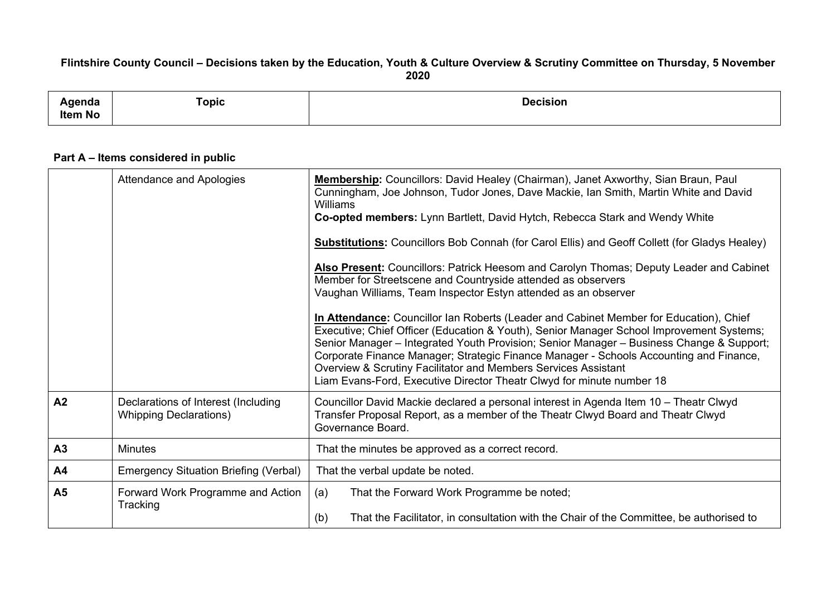## Flintshire County Council - Decisions taken by the Education, Youth & Culture Overview & Scrutiny Committee on Thursday, 5 November **2020**

| .<br>нио<br>,,,,,,<br><b>Item No</b> | ⊺opic | Decision |
|--------------------------------------|-------|----------|
|                                      |       |          |

## **Part A – Items considered in public**

|                | Attendance and Apologies                                             | Membership: Councillors: David Healey (Chairman), Janet Axworthy, Sian Braun, Paul<br>Cunningham, Joe Johnson, Tudor Jones, Dave Mackie, Ian Smith, Martin White and David<br>Williams<br>Co-opted members: Lynn Bartlett, David Hytch, Rebecca Stark and Wendy White                                                                                                                                                                                                                                               |
|----------------|----------------------------------------------------------------------|---------------------------------------------------------------------------------------------------------------------------------------------------------------------------------------------------------------------------------------------------------------------------------------------------------------------------------------------------------------------------------------------------------------------------------------------------------------------------------------------------------------------|
|                |                                                                      | <b>Substitutions:</b> Councillors Bob Connah (for Carol Ellis) and Geoff Collett (for Gladys Healey)                                                                                                                                                                                                                                                                                                                                                                                                                |
|                |                                                                      | Also Present: Councillors: Patrick Heesom and Carolyn Thomas; Deputy Leader and Cabinet<br>Member for Streetscene and Countryside attended as observers<br>Vaughan Williams, Team Inspector Estyn attended as an observer                                                                                                                                                                                                                                                                                           |
|                |                                                                      | In Attendance: Councillor Ian Roberts (Leader and Cabinet Member for Education), Chief<br>Executive; Chief Officer (Education & Youth), Senior Manager School Improvement Systems;<br>Senior Manager - Integrated Youth Provision; Senior Manager - Business Change & Support;<br>Corporate Finance Manager; Strategic Finance Manager - Schools Accounting and Finance,<br>Overview & Scrutiny Facilitator and Members Services Assistant<br>Liam Evans-Ford, Executive Director Theatr Clwyd for minute number 18 |
| A <sub>2</sub> | Declarations of Interest (Including<br><b>Whipping Declarations)</b> | Councillor David Mackie declared a personal interest in Agenda Item 10 - Theatr Clwyd<br>Transfer Proposal Report, as a member of the Theatr Clwyd Board and Theatr Clwyd<br>Governance Board.                                                                                                                                                                                                                                                                                                                      |
| A <sub>3</sub> | <b>Minutes</b>                                                       | That the minutes be approved as a correct record.                                                                                                                                                                                                                                                                                                                                                                                                                                                                   |
| A <sub>4</sub> | <b>Emergency Situation Briefing (Verbal)</b>                         | That the verbal update be noted.                                                                                                                                                                                                                                                                                                                                                                                                                                                                                    |
| A <sub>5</sub> | Forward Work Programme and Action<br>Tracking                        | (a)<br>That the Forward Work Programme be noted;<br>(b)<br>That the Facilitator, in consultation with the Chair of the Committee, be authorised to                                                                                                                                                                                                                                                                                                                                                                  |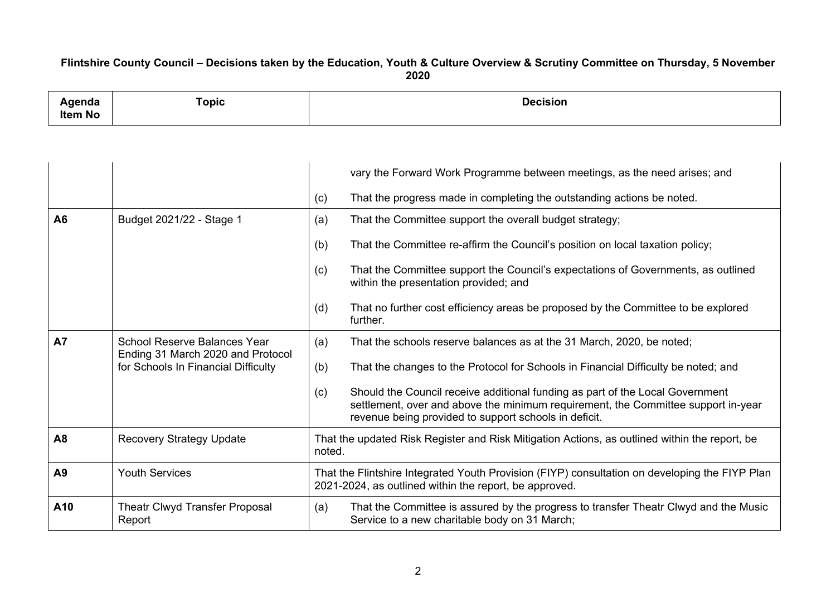## Flintshire County Council - Decisions taken by the Education, Youth & Culture Overview & Scrutiny Committee on Thursday, 5 November **2020**

| anua<br>Item No | opic" | Nacision |
|-----------------|-------|----------|
|                 |       |          |

|                |                                                                          | vary the Forward Work Programme between meetings, as the need arises; and                                                                                                                                                          |
|----------------|--------------------------------------------------------------------------|------------------------------------------------------------------------------------------------------------------------------------------------------------------------------------------------------------------------------------|
|                |                                                                          | That the progress made in completing the outstanding actions be noted.<br>(c)                                                                                                                                                      |
| A6             | Budget 2021/22 - Stage 1                                                 | (a)<br>That the Committee support the overall budget strategy;                                                                                                                                                                     |
|                |                                                                          | (b)<br>That the Committee re-affirm the Council's position on local taxation policy;                                                                                                                                               |
|                |                                                                          | That the Committee support the Council's expectations of Governments, as outlined<br>(c)<br>within the presentation provided; and                                                                                                  |
|                |                                                                          | That no further cost efficiency areas be proposed by the Committee to be explored<br>(d)<br>further.                                                                                                                               |
| <b>A7</b>      | <b>School Reserve Balances Year</b><br>Ending 31 March 2020 and Protocol | That the schools reserve balances as at the 31 March, 2020, be noted;<br>(a)                                                                                                                                                       |
|                | for Schools In Financial Difficulty                                      | (b)<br>That the changes to the Protocol for Schools in Financial Difficulty be noted; and                                                                                                                                          |
|                |                                                                          | Should the Council receive additional funding as part of the Local Government<br>(c)<br>settlement, over and above the minimum requirement, the Committee support in-year<br>revenue being provided to support schools in deficit. |
| A <sub>8</sub> | <b>Recovery Strategy Update</b>                                          | That the updated Risk Register and Risk Mitigation Actions, as outlined within the report, be<br>noted.                                                                                                                            |
| A <sub>9</sub> | <b>Youth Services</b>                                                    | That the Flintshire Integrated Youth Provision (FIYP) consultation on developing the FIYP Plan<br>2021-2024, as outlined within the report, be approved.                                                                           |
| A10            | Theatr Clwyd Transfer Proposal<br>Report                                 | That the Committee is assured by the progress to transfer Theatr Clwyd and the Music<br>(a)<br>Service to a new charitable body on 31 March;                                                                                       |